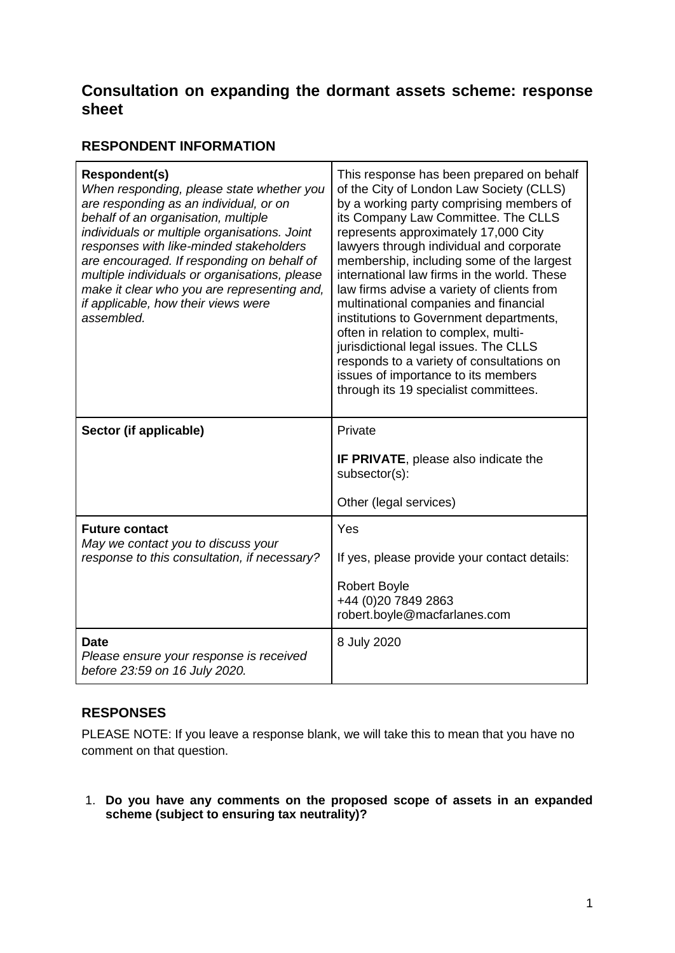# **Consultation on expanding the dormant assets scheme: response sheet**

# **RESPONDENT INFORMATION**

| <b>Respondent(s)</b><br>When responding, please state whether you<br>are responding as an individual, or on<br>behalf of an organisation, multiple<br>individuals or multiple organisations. Joint<br>responses with like-minded stakeholders<br>are encouraged. If responding on behalf of<br>multiple individuals or organisations, please<br>make it clear who you are representing and,<br>if applicable, how their views were<br>assembled. | This response has been prepared on behalf<br>of the City of London Law Society (CLLS)<br>by a working party comprising members of<br>its Company Law Committee. The CLLS<br>represents approximately 17,000 City<br>lawyers through individual and corporate<br>membership, including some of the largest<br>international law firms in the world. These<br>law firms advise a variety of clients from<br>multinational companies and financial<br>institutions to Government departments,<br>often in relation to complex, multi-<br>jurisdictional legal issues. The CLLS<br>responds to a variety of consultations on<br>issues of importance to its members<br>through its 19 specialist committees. |
|--------------------------------------------------------------------------------------------------------------------------------------------------------------------------------------------------------------------------------------------------------------------------------------------------------------------------------------------------------------------------------------------------------------------------------------------------|----------------------------------------------------------------------------------------------------------------------------------------------------------------------------------------------------------------------------------------------------------------------------------------------------------------------------------------------------------------------------------------------------------------------------------------------------------------------------------------------------------------------------------------------------------------------------------------------------------------------------------------------------------------------------------------------------------|
| Sector (if applicable)                                                                                                                                                                                                                                                                                                                                                                                                                           | Private                                                                                                                                                                                                                                                                                                                                                                                                                                                                                                                                                                                                                                                                                                  |
|                                                                                                                                                                                                                                                                                                                                                                                                                                                  | <b>IF PRIVATE, please also indicate the</b><br>subsector(s):                                                                                                                                                                                                                                                                                                                                                                                                                                                                                                                                                                                                                                             |
|                                                                                                                                                                                                                                                                                                                                                                                                                                                  | Other (legal services)                                                                                                                                                                                                                                                                                                                                                                                                                                                                                                                                                                                                                                                                                   |
| <b>Future contact</b><br>May we contact you to discuss your                                                                                                                                                                                                                                                                                                                                                                                      | Yes                                                                                                                                                                                                                                                                                                                                                                                                                                                                                                                                                                                                                                                                                                      |
| response to this consultation, if necessary?                                                                                                                                                                                                                                                                                                                                                                                                     | If yes, please provide your contact details:                                                                                                                                                                                                                                                                                                                                                                                                                                                                                                                                                                                                                                                             |
|                                                                                                                                                                                                                                                                                                                                                                                                                                                  | <b>Robert Boyle</b><br>+44 (0)20 7849 2863<br>robert.boyle@macfarlanes.com                                                                                                                                                                                                                                                                                                                                                                                                                                                                                                                                                                                                                               |
| <b>Date</b><br>Please ensure your response is received<br>before 23:59 on 16 July 2020.                                                                                                                                                                                                                                                                                                                                                          | 8 July 2020                                                                                                                                                                                                                                                                                                                                                                                                                                                                                                                                                                                                                                                                                              |

# **RESPONSES**

PLEASE NOTE: If you leave a response blank, we will take this to mean that you have no comment on that question.

1. **Do you have any comments on the proposed scope of assets in an expanded scheme (subject to ensuring tax neutrality)?**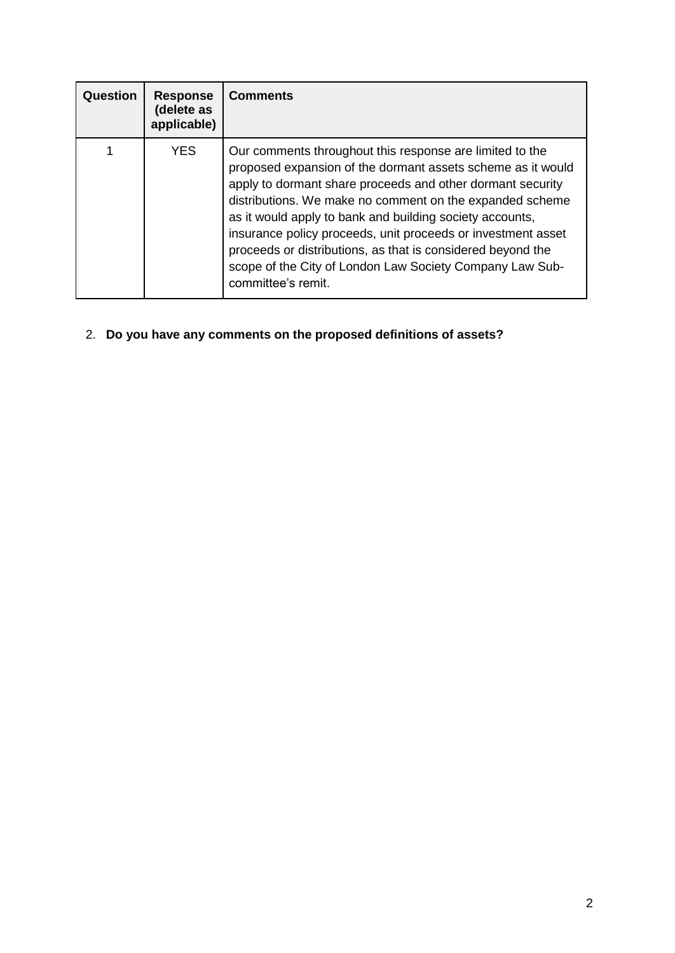| Question | <b>Response</b><br>(delete as<br>applicable) | <b>Comments</b>                                                                                                                                                                                                                                                                                                                                                                                                                                                                                                                |
|----------|----------------------------------------------|--------------------------------------------------------------------------------------------------------------------------------------------------------------------------------------------------------------------------------------------------------------------------------------------------------------------------------------------------------------------------------------------------------------------------------------------------------------------------------------------------------------------------------|
|          | YES                                          | Our comments throughout this response are limited to the<br>proposed expansion of the dormant assets scheme as it would<br>apply to dormant share proceeds and other dormant security<br>distributions. We make no comment on the expanded scheme<br>as it would apply to bank and building society accounts,<br>insurance policy proceeds, unit proceeds or investment asset<br>proceeds or distributions, as that is considered beyond the<br>scope of the City of London Law Society Company Law Sub-<br>committee's remit. |

2. **Do you have any comments on the proposed definitions of assets?**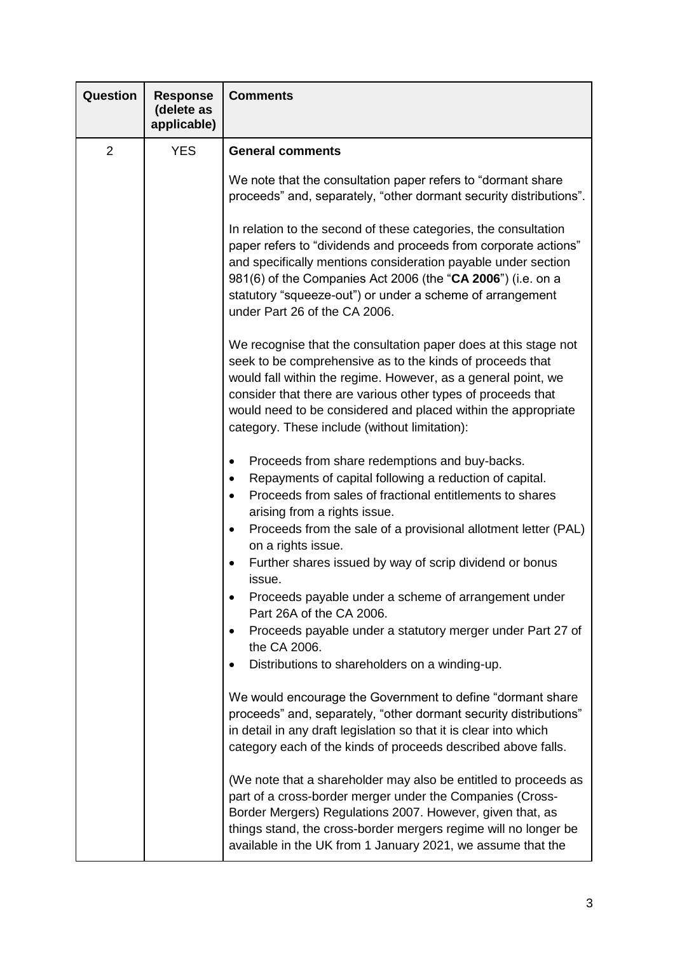| Question       | <b>Response</b><br>(delete as<br>applicable) | <b>Comments</b>                                                                                                                                                                                                                                                                                                                                                                                                                                                                                                                                                                                                                                                                                                                                                                                               |
|----------------|----------------------------------------------|---------------------------------------------------------------------------------------------------------------------------------------------------------------------------------------------------------------------------------------------------------------------------------------------------------------------------------------------------------------------------------------------------------------------------------------------------------------------------------------------------------------------------------------------------------------------------------------------------------------------------------------------------------------------------------------------------------------------------------------------------------------------------------------------------------------|
| $\overline{2}$ | <b>YES</b>                                   | <b>General comments</b>                                                                                                                                                                                                                                                                                                                                                                                                                                                                                                                                                                                                                                                                                                                                                                                       |
|                |                                              | We note that the consultation paper refers to "dormant share"<br>proceeds" and, separately, "other dormant security distributions".                                                                                                                                                                                                                                                                                                                                                                                                                                                                                                                                                                                                                                                                           |
|                |                                              | In relation to the second of these categories, the consultation<br>paper refers to "dividends and proceeds from corporate actions"<br>and specifically mentions consideration payable under section<br>981(6) of the Companies Act 2006 (the "CA 2006") (i.e. on a<br>statutory "squeeze-out") or under a scheme of arrangement<br>under Part 26 of the CA 2006.                                                                                                                                                                                                                                                                                                                                                                                                                                              |
|                |                                              | We recognise that the consultation paper does at this stage not<br>seek to be comprehensive as to the kinds of proceeds that<br>would fall within the regime. However, as a general point, we<br>consider that there are various other types of proceeds that<br>would need to be considered and placed within the appropriate<br>category. These include (without limitation):                                                                                                                                                                                                                                                                                                                                                                                                                               |
|                |                                              | Proceeds from share redemptions and buy-backs.<br>$\bullet$<br>Repayments of capital following a reduction of capital.<br>$\bullet$<br>Proceeds from sales of fractional entitlements to shares<br>$\bullet$<br>arising from a rights issue.<br>Proceeds from the sale of a provisional allotment letter (PAL)<br>$\bullet$<br>on a rights issue.<br>Further shares issued by way of scrip dividend or bonus<br>$\bullet$<br>issue.<br>Proceeds payable under a scheme of arrangement under<br>Part 26A of the CA 2006.<br>Proceeds payable under a statutory merger under Part 27 of<br>٠<br>the CA 2006.<br>Distributions to shareholders on a winding-up.<br>$\bullet$<br>We would encourage the Government to define "dormant share"<br>proceeds" and, separately, "other dormant security distributions" |
|                |                                              | in detail in any draft legislation so that it is clear into which<br>category each of the kinds of proceeds described above falls.<br>(We note that a shareholder may also be entitled to proceeds as<br>part of a cross-border merger under the Companies (Cross-<br>Border Mergers) Regulations 2007. However, given that, as<br>things stand, the cross-border mergers regime will no longer be<br>available in the UK from 1 January 2021, we assume that the                                                                                                                                                                                                                                                                                                                                             |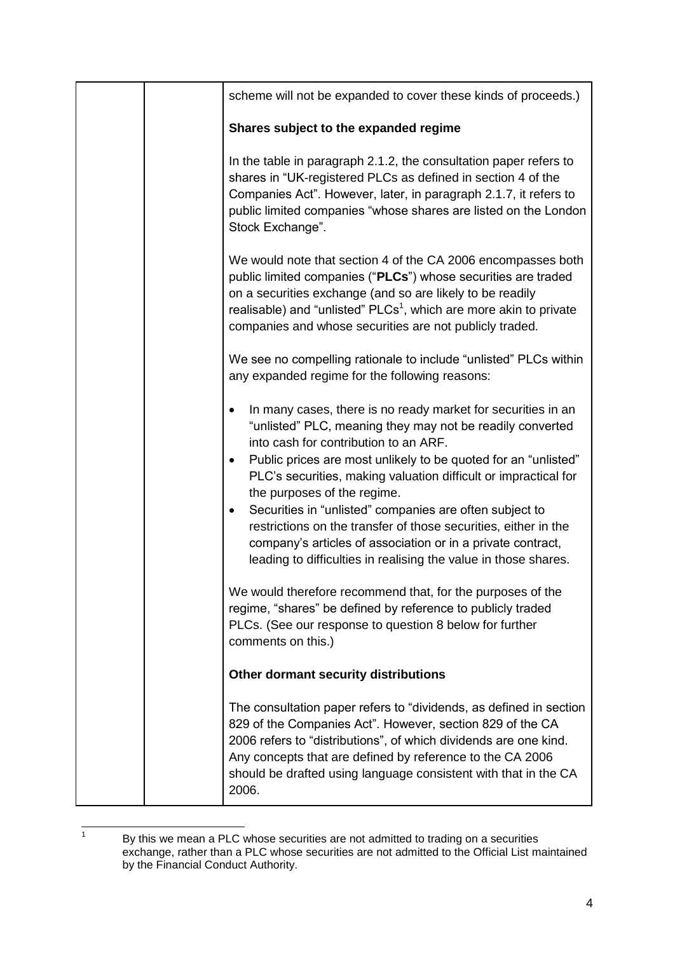|  | scheme will not be expanded to cover these kinds of proceeds.)                                                                                                                                                                                                                                                                               |
|--|----------------------------------------------------------------------------------------------------------------------------------------------------------------------------------------------------------------------------------------------------------------------------------------------------------------------------------------------|
|  | Shares subject to the expanded regime                                                                                                                                                                                                                                                                                                        |
|  | In the table in paragraph 2.1.2, the consultation paper refers to<br>shares in "UK-registered PLCs as defined in section 4 of the<br>Companies Act". However, later, in paragraph 2.1.7, it refers to<br>public limited companies "whose shares are listed on the London<br>Stock Exchange".                                                 |
|  | We would note that section 4 of the CA 2006 encompasses both<br>public limited companies ("PLCs") whose securities are traded<br>on a securities exchange (and so are likely to be readily<br>realisable) and "unlisted" PLCs <sup>1</sup> , which are more akin to private<br>companies and whose securities are not publicly traded.       |
|  | We see no compelling rationale to include "unlisted" PLCs within<br>any expanded regime for the following reasons:                                                                                                                                                                                                                           |
|  | In many cases, there is no ready market for securities in an<br>$\bullet$<br>"unlisted" PLC, meaning they may not be readily converted<br>into cash for contribution to an ARF.<br>Public prices are most unlikely to be quoted for an "unlisted"<br>$\bullet$<br>PLC's securities, making valuation difficult or impractical for            |
|  | the purposes of the regime.<br>Securities in "unlisted" companies are often subject to<br>$\bullet$<br>restrictions on the transfer of those securities, either in the<br>company's articles of association or in a private contract,<br>leading to difficulties in realising the value in those shares.                                     |
|  | We would therefore recommend that, for the purposes of the<br>regime, "shares" be defined by reference to publicly traded<br>PLCs. (See our response to question 8 below for further<br>comments on this.)                                                                                                                                   |
|  | Other dormant security distributions                                                                                                                                                                                                                                                                                                         |
|  | The consultation paper refers to "dividends, as defined in section<br>829 of the Companies Act". However, section 829 of the CA<br>2006 refers to "distributions", of which dividends are one kind.<br>Any concepts that are defined by reference to the CA 2006<br>should be drafted using language consistent with that in the CA<br>2006. |

 $\frac{1}{1}$ By this we mean a PLC whose securities are not admitted to trading on a securities exchange, rather than a PLC whose securities are not admitted to the Official List maintained by the Financial Conduct Authority.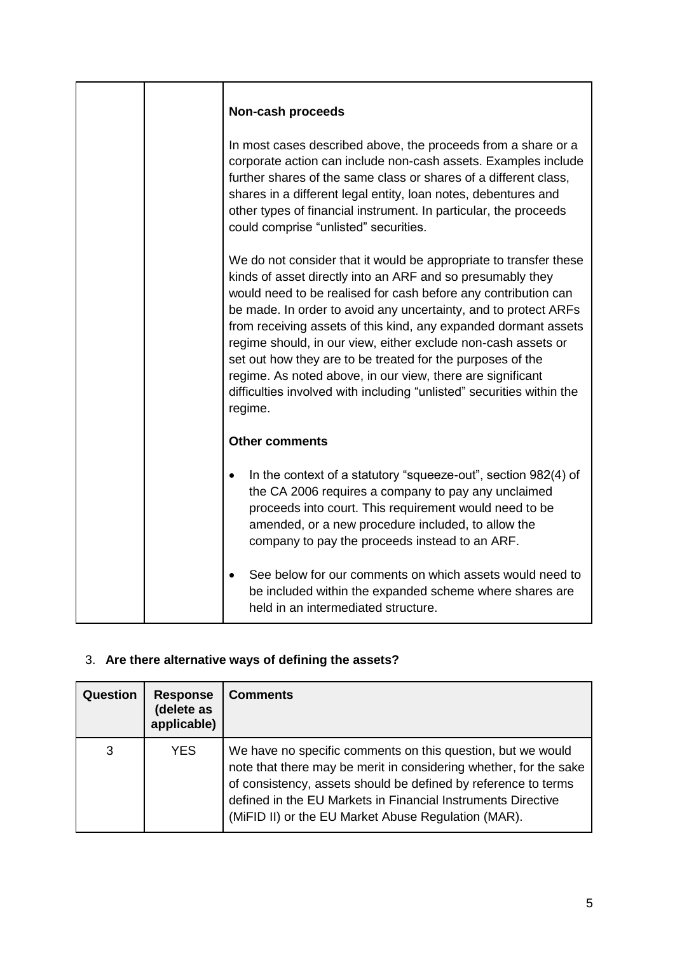|  | Non-cash proceeds                                                                                                                                                                                                                                                                                                                                                                                                                                                                                                                                                                                                        |
|--|--------------------------------------------------------------------------------------------------------------------------------------------------------------------------------------------------------------------------------------------------------------------------------------------------------------------------------------------------------------------------------------------------------------------------------------------------------------------------------------------------------------------------------------------------------------------------------------------------------------------------|
|  | In most cases described above, the proceeds from a share or a<br>corporate action can include non-cash assets. Examples include<br>further shares of the same class or shares of a different class,<br>shares in a different legal entity, loan notes, debentures and<br>other types of financial instrument. In particular, the proceeds<br>could comprise "unlisted" securities.                                                                                                                                                                                                                                       |
|  | We do not consider that it would be appropriate to transfer these<br>kinds of asset directly into an ARF and so presumably they<br>would need to be realised for cash before any contribution can<br>be made. In order to avoid any uncertainty, and to protect ARFs<br>from receiving assets of this kind, any expanded dormant assets<br>regime should, in our view, either exclude non-cash assets or<br>set out how they are to be treated for the purposes of the<br>regime. As noted above, in our view, there are significant<br>difficulties involved with including "unlisted" securities within the<br>regime. |
|  | <b>Other comments</b>                                                                                                                                                                                                                                                                                                                                                                                                                                                                                                                                                                                                    |
|  | In the context of a statutory "squeeze-out", section 982(4) of<br>the CA 2006 requires a company to pay any unclaimed<br>proceeds into court. This requirement would need to be<br>amended, or a new procedure included, to allow the<br>company to pay the proceeds instead to an ARF.                                                                                                                                                                                                                                                                                                                                  |
|  | See below for our comments on which assets would need to<br>$\bullet$<br>be included within the expanded scheme where shares are<br>held in an intermediated structure.                                                                                                                                                                                                                                                                                                                                                                                                                                                  |

# 3. **Are there alternative ways of defining the assets?**

| Question | <b>Response</b><br>(delete as<br>applicable) | <b>Comments</b>                                                                                                                                                                                                                                                                                                           |
|----------|----------------------------------------------|---------------------------------------------------------------------------------------------------------------------------------------------------------------------------------------------------------------------------------------------------------------------------------------------------------------------------|
| 3        | <b>YES</b>                                   | We have no specific comments on this question, but we would<br>note that there may be merit in considering whether, for the sake<br>of consistency, assets should be defined by reference to terms<br>defined in the EU Markets in Financial Instruments Directive<br>(MiFID II) or the EU Market Abuse Regulation (MAR). |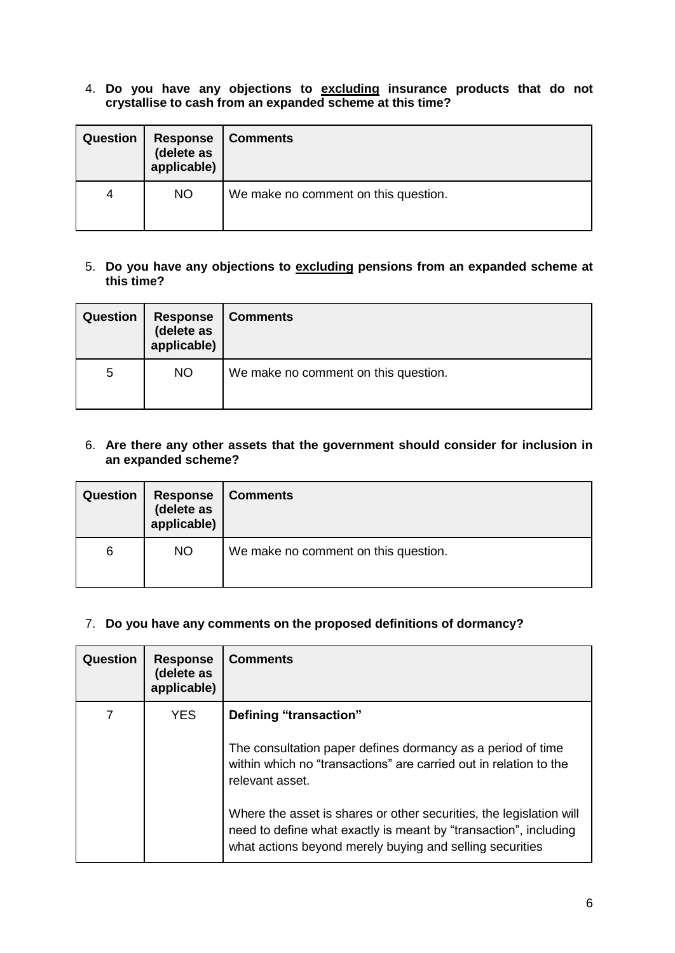4. **Do you have any objections to excluding insurance products that do not crystallise to cash from an expanded scheme at this time?** 

| Question | <b>Response</b><br>(delete as<br>applicable) | Comments                             |
|----------|----------------------------------------------|--------------------------------------|
| 4        | <b>NO</b>                                    | We make no comment on this question. |

## 5. **Do you have any objections to excluding pensions from an expanded scheme at this time?**

| <b>Question</b> | <b>Response</b><br>(delete as<br>applicable) | <b>Comments</b>                      |
|-----------------|----------------------------------------------|--------------------------------------|
| 5               | <b>NO</b>                                    | We make no comment on this question. |

### 6. **Are there any other assets that the government should consider for inclusion in an expanded scheme?**

| <b>Question</b> | <b>Response</b><br>(delete as<br>applicable) | <b>Comments</b>                      |
|-----------------|----------------------------------------------|--------------------------------------|
| 6               | <b>NO</b>                                    | We make no comment on this question. |

#### 7. **Do you have any comments on the proposed definitions of dormancy?**

| Question | <b>Response</b><br>(delete as<br>applicable) | <b>Comments</b>                                                                                                                                                                                                                                                                                                                                                                      |
|----------|----------------------------------------------|--------------------------------------------------------------------------------------------------------------------------------------------------------------------------------------------------------------------------------------------------------------------------------------------------------------------------------------------------------------------------------------|
|          | <b>YES</b>                                   | Defining "transaction"<br>The consultation paper defines dormancy as a period of time<br>within which no "transactions" are carried out in relation to the<br>relevant asset.<br>Where the asset is shares or other securities, the legislation will<br>need to define what exactly is meant by "transaction", including<br>what actions beyond merely buying and selling securities |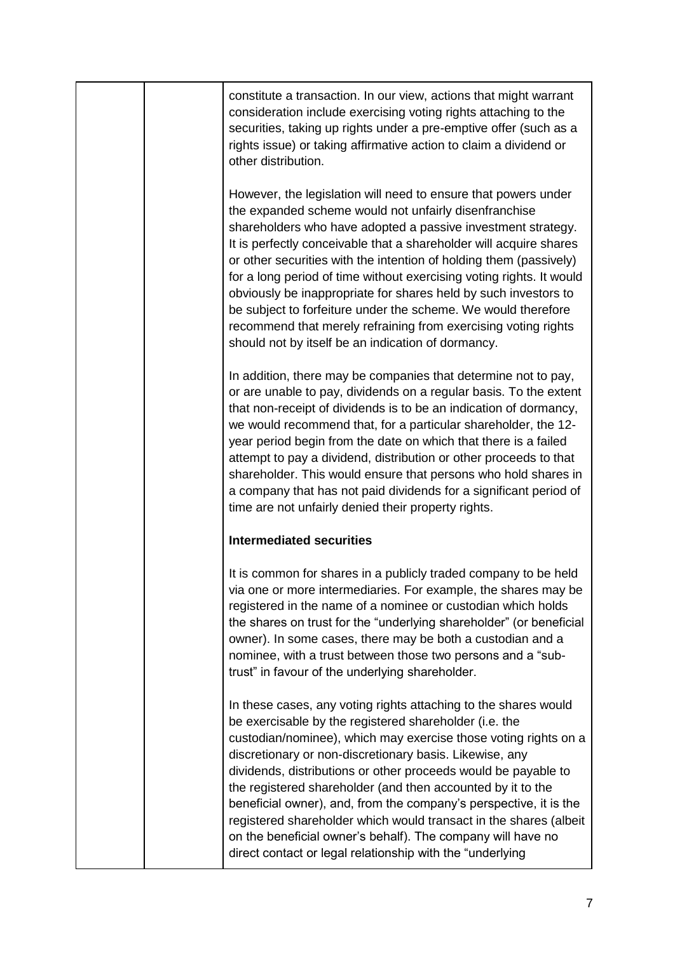|  | constitute a transaction. In our view, actions that might warrant<br>consideration include exercising voting rights attaching to the<br>securities, taking up rights under a pre-emptive offer (such as a<br>rights issue) or taking affirmative action to claim a dividend or<br>other distribution.                                                                                                                                                                                                                                                                                                                                                                   |
|--|-------------------------------------------------------------------------------------------------------------------------------------------------------------------------------------------------------------------------------------------------------------------------------------------------------------------------------------------------------------------------------------------------------------------------------------------------------------------------------------------------------------------------------------------------------------------------------------------------------------------------------------------------------------------------|
|  | However, the legislation will need to ensure that powers under<br>the expanded scheme would not unfairly disenfranchise<br>shareholders who have adopted a passive investment strategy.<br>It is perfectly conceivable that a shareholder will acquire shares<br>or other securities with the intention of holding them (passively)<br>for a long period of time without exercising voting rights. It would<br>obviously be inappropriate for shares held by such investors to<br>be subject to forfeiture under the scheme. We would therefore<br>recommend that merely refraining from exercising voting rights<br>should not by itself be an indication of dormancy. |
|  | In addition, there may be companies that determine not to pay,<br>or are unable to pay, dividends on a regular basis. To the extent<br>that non-receipt of dividends is to be an indication of dormancy,<br>we would recommend that, for a particular shareholder, the 12-<br>year period begin from the date on which that there is a failed<br>attempt to pay a dividend, distribution or other proceeds to that<br>shareholder. This would ensure that persons who hold shares in<br>a company that has not paid dividends for a significant period of<br>time are not unfairly denied their property rights.                                                        |
|  | <b>Intermediated securities</b>                                                                                                                                                                                                                                                                                                                                                                                                                                                                                                                                                                                                                                         |
|  | It is common for shares in a publicly traded company to be held<br>via one or more intermediaries. For example, the shares may be<br>registered in the name of a nominee or custodian which holds<br>the shares on trust for the "underlying shareholder" (or beneficial<br>owner). In some cases, there may be both a custodian and a<br>nominee, with a trust between those two persons and a "sub-<br>trust" in favour of the underlying shareholder.                                                                                                                                                                                                                |
|  | In these cases, any voting rights attaching to the shares would<br>be exercisable by the registered shareholder (i.e. the<br>custodian/nominee), which may exercise those voting rights on a<br>discretionary or non-discretionary basis. Likewise, any<br>dividends, distributions or other proceeds would be payable to<br>the registered shareholder (and then accounted by it to the<br>beneficial owner), and, from the company's perspective, it is the<br>registered shareholder which would transact in the shares (albeit<br>on the beneficial owner's behalf). The company will have no<br>direct contact or legal relationship with the "underlying          |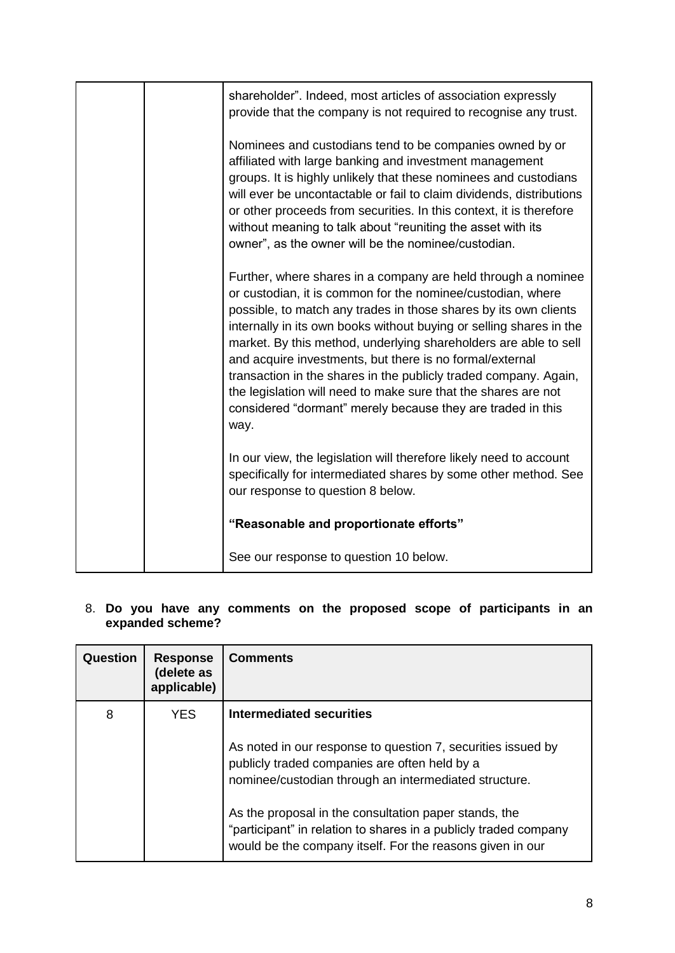|  | shareholder". Indeed, most articles of association expressly<br>provide that the company is not required to recognise any trust.                                                                                                                                                                                                                                                                                                                                                                                                                                                                                     |
|--|----------------------------------------------------------------------------------------------------------------------------------------------------------------------------------------------------------------------------------------------------------------------------------------------------------------------------------------------------------------------------------------------------------------------------------------------------------------------------------------------------------------------------------------------------------------------------------------------------------------------|
|  | Nominees and custodians tend to be companies owned by or<br>affiliated with large banking and investment management<br>groups. It is highly unlikely that these nominees and custodians<br>will ever be uncontactable or fail to claim dividends, distributions<br>or other proceeds from securities. In this context, it is therefore<br>without meaning to talk about "reuniting the asset with its<br>owner", as the owner will be the nominee/custodian.                                                                                                                                                         |
|  | Further, where shares in a company are held through a nominee<br>or custodian, it is common for the nominee/custodian, where<br>possible, to match any trades in those shares by its own clients<br>internally in its own books without buying or selling shares in the<br>market. By this method, underlying shareholders are able to sell<br>and acquire investments, but there is no formal/external<br>transaction in the shares in the publicly traded company. Again,<br>the legislation will need to make sure that the shares are not<br>considered "dormant" merely because they are traded in this<br>way. |
|  | In our view, the legislation will therefore likely need to account<br>specifically for intermediated shares by some other method. See<br>our response to question 8 below.                                                                                                                                                                                                                                                                                                                                                                                                                                           |
|  | "Reasonable and proportionate efforts"                                                                                                                                                                                                                                                                                                                                                                                                                                                                                                                                                                               |
|  | See our response to question 10 below.                                                                                                                                                                                                                                                                                                                                                                                                                                                                                                                                                                               |

#### 8. **Do you have any comments on the proposed scope of participants in an expanded scheme?**

| Question | <b>Response</b><br>(delete as<br>applicable) | <b>Comments</b>                                                                                                                                                                        |
|----------|----------------------------------------------|----------------------------------------------------------------------------------------------------------------------------------------------------------------------------------------|
| 8        | <b>YES</b>                                   | Intermediated securities                                                                                                                                                               |
|          |                                              | As noted in our response to question 7, securities issued by<br>publicly traded companies are often held by a                                                                          |
|          |                                              | nominee/custodian through an intermediated structure.                                                                                                                                  |
|          |                                              | As the proposal in the consultation paper stands, the<br>"participant" in relation to shares in a publicly traded company<br>would be the company itself. For the reasons given in our |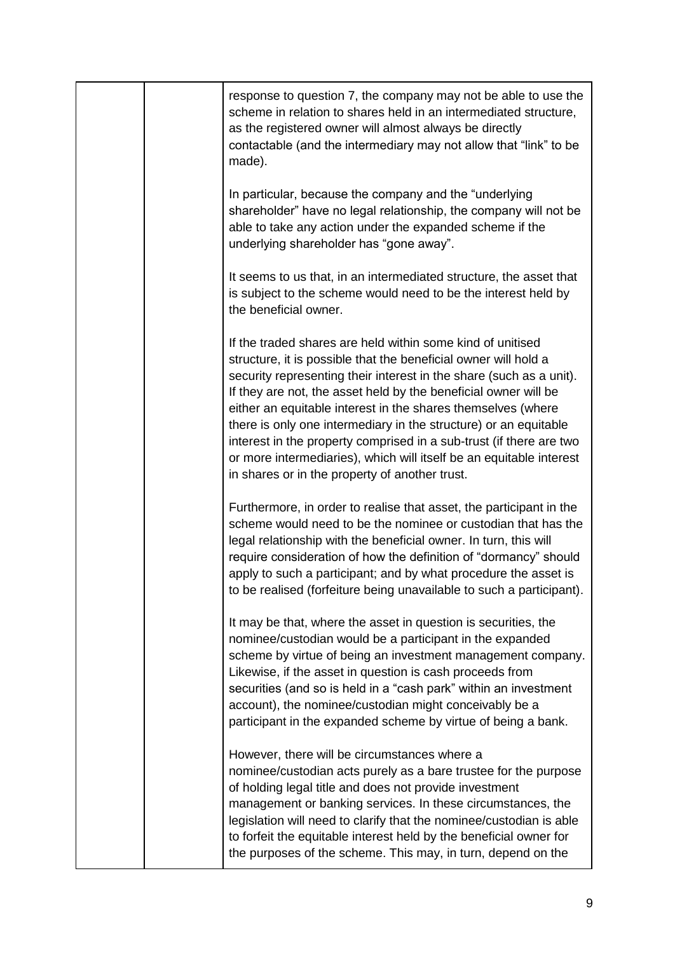|  | response to question 7, the company may not be able to use the<br>scheme in relation to shares held in an intermediated structure,<br>as the registered owner will almost always be directly<br>contactable (and the intermediary may not allow that "link" to be<br>made).                                                                                                                                                                                                                                                                                                                                 |
|--|-------------------------------------------------------------------------------------------------------------------------------------------------------------------------------------------------------------------------------------------------------------------------------------------------------------------------------------------------------------------------------------------------------------------------------------------------------------------------------------------------------------------------------------------------------------------------------------------------------------|
|  | In particular, because the company and the "underlying"<br>shareholder" have no legal relationship, the company will not be<br>able to take any action under the expanded scheme if the<br>underlying shareholder has "gone away".                                                                                                                                                                                                                                                                                                                                                                          |
|  | It seems to us that, in an intermediated structure, the asset that<br>is subject to the scheme would need to be the interest held by<br>the beneficial owner.                                                                                                                                                                                                                                                                                                                                                                                                                                               |
|  | If the traded shares are held within some kind of unitised<br>structure, it is possible that the beneficial owner will hold a<br>security representing their interest in the share (such as a unit).<br>If they are not, the asset held by the beneficial owner will be<br>either an equitable interest in the shares themselves (where<br>there is only one intermediary in the structure) or an equitable<br>interest in the property comprised in a sub-trust (if there are two<br>or more intermediaries), which will itself be an equitable interest<br>in shares or in the property of another trust. |
|  | Furthermore, in order to realise that asset, the participant in the<br>scheme would need to be the nominee or custodian that has the<br>legal relationship with the beneficial owner. In turn, this will<br>require consideration of how the definition of "dormancy" should<br>apply to such a participant; and by what procedure the asset is<br>to be realised (forfeiture being unavailable to such a participant).                                                                                                                                                                                     |
|  | It may be that, where the asset in question is securities, the<br>nominee/custodian would be a participant in the expanded<br>scheme by virtue of being an investment management company.<br>Likewise, if the asset in question is cash proceeds from<br>securities (and so is held in a "cash park" within an investment<br>account), the nominee/custodian might conceivably be a<br>participant in the expanded scheme by virtue of being a bank.                                                                                                                                                        |
|  | However, there will be circumstances where a<br>nominee/custodian acts purely as a bare trustee for the purpose<br>of holding legal title and does not provide investment<br>management or banking services. In these circumstances, the<br>legislation will need to clarify that the nominee/custodian is able<br>to forfeit the equitable interest held by the beneficial owner for<br>the purposes of the scheme. This may, in turn, depend on the                                                                                                                                                       |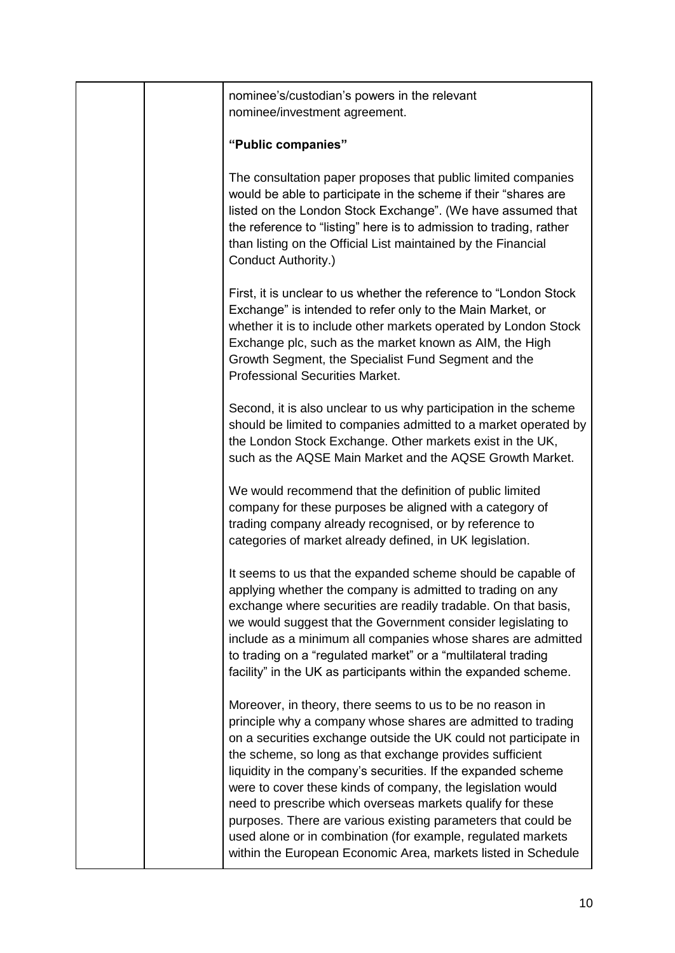|  | nominee's/custodian's powers in the relevant<br>nominee/investment agreement.                                                                                                                                                                                                                                                                                                                                                                                                                                                                                                                                                                             |
|--|-----------------------------------------------------------------------------------------------------------------------------------------------------------------------------------------------------------------------------------------------------------------------------------------------------------------------------------------------------------------------------------------------------------------------------------------------------------------------------------------------------------------------------------------------------------------------------------------------------------------------------------------------------------|
|  | "Public companies"                                                                                                                                                                                                                                                                                                                                                                                                                                                                                                                                                                                                                                        |
|  | The consultation paper proposes that public limited companies<br>would be able to participate in the scheme if their "shares are<br>listed on the London Stock Exchange". (We have assumed that<br>the reference to "listing" here is to admission to trading, rather<br>than listing on the Official List maintained by the Financial<br>Conduct Authority.)                                                                                                                                                                                                                                                                                             |
|  | First, it is unclear to us whether the reference to "London Stock"<br>Exchange" is intended to refer only to the Main Market, or<br>whether it is to include other markets operated by London Stock<br>Exchange plc, such as the market known as AIM, the High<br>Growth Segment, the Specialist Fund Segment and the<br><b>Professional Securities Market.</b>                                                                                                                                                                                                                                                                                           |
|  | Second, it is also unclear to us why participation in the scheme<br>should be limited to companies admitted to a market operated by<br>the London Stock Exchange. Other markets exist in the UK,<br>such as the AQSE Main Market and the AQSE Growth Market.                                                                                                                                                                                                                                                                                                                                                                                              |
|  | We would recommend that the definition of public limited<br>company for these purposes be aligned with a category of<br>trading company already recognised, or by reference to<br>categories of market already defined, in UK legislation.                                                                                                                                                                                                                                                                                                                                                                                                                |
|  | It seems to us that the expanded scheme should be capable of<br>applying whether the company is admitted to trading on any<br>exchange where securities are readily tradable. On that basis,<br>we would suggest that the Government consider legislating to<br>include as a minimum all companies whose shares are admitted<br>to trading on a "regulated market" or a "multilateral trading<br>facility" in the UK as participants within the expanded scheme.                                                                                                                                                                                          |
|  | Moreover, in theory, there seems to us to be no reason in<br>principle why a company whose shares are admitted to trading<br>on a securities exchange outside the UK could not participate in<br>the scheme, so long as that exchange provides sufficient<br>liquidity in the company's securities. If the expanded scheme<br>were to cover these kinds of company, the legislation would<br>need to prescribe which overseas markets qualify for these<br>purposes. There are various existing parameters that could be<br>used alone or in combination (for example, regulated markets<br>within the European Economic Area, markets listed in Schedule |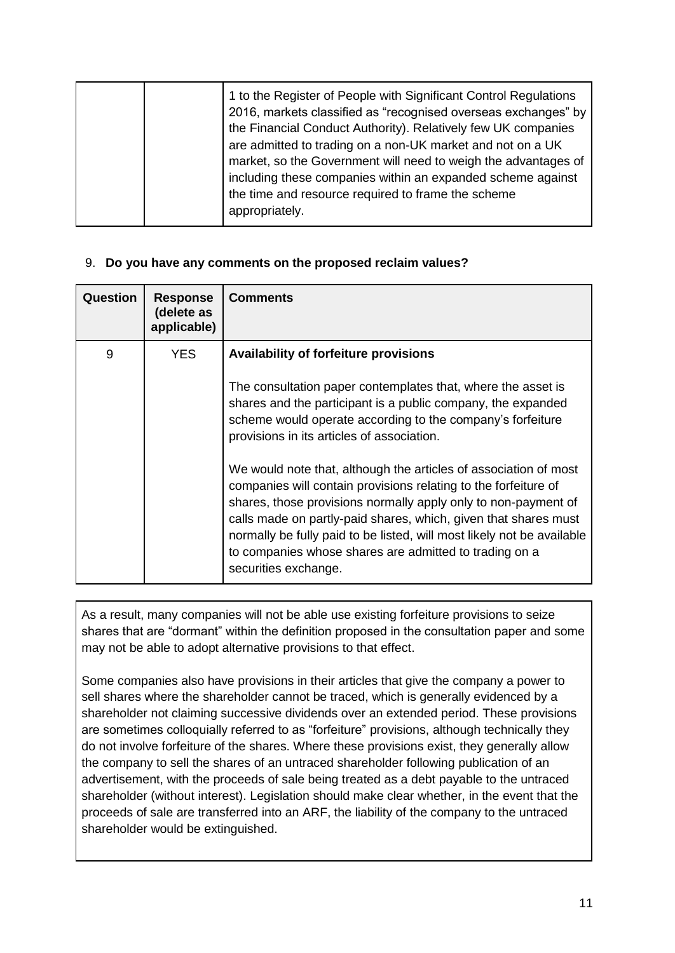| 1 to the Register of People with Significant Control Regulations<br>2016, markets classified as "recognised overseas exchanges" by<br>the Financial Conduct Authority). Relatively few UK companies<br>are admitted to trading on a non-UK market and not on a UK<br>market, so the Government will need to weigh the advantages of<br>including these companies within an expanded scheme against<br>the time and resource required to frame the scheme<br>appropriately. |
|----------------------------------------------------------------------------------------------------------------------------------------------------------------------------------------------------------------------------------------------------------------------------------------------------------------------------------------------------------------------------------------------------------------------------------------------------------------------------|
|----------------------------------------------------------------------------------------------------------------------------------------------------------------------------------------------------------------------------------------------------------------------------------------------------------------------------------------------------------------------------------------------------------------------------------------------------------------------------|

## 9. **Do you have any comments on the proposed reclaim values?**

| Question | <b>Response</b><br>(delete as<br>applicable) | <b>Comments</b>                                                                                                                                                                                                                                                                                                                                                                                                                                                                                                                                                                                                                                                                                                                  |
|----------|----------------------------------------------|----------------------------------------------------------------------------------------------------------------------------------------------------------------------------------------------------------------------------------------------------------------------------------------------------------------------------------------------------------------------------------------------------------------------------------------------------------------------------------------------------------------------------------------------------------------------------------------------------------------------------------------------------------------------------------------------------------------------------------|
| 9        | YES.                                         | <b>Availability of forfeiture provisions</b><br>The consultation paper contemplates that, where the asset is<br>shares and the participant is a public company, the expanded<br>scheme would operate according to the company's forfeiture<br>provisions in its articles of association.<br>We would note that, although the articles of association of most<br>companies will contain provisions relating to the forfeiture of<br>shares, those provisions normally apply only to non-payment of<br>calls made on partly-paid shares, which, given that shares must<br>normally be fully paid to be listed, will most likely not be available<br>to companies whose shares are admitted to trading on a<br>securities exchange. |

As a result, many companies will not be able use existing forfeiture provisions to seize shares that are "dormant" within the definition proposed in the consultation paper and some may not be able to adopt alternative provisions to that effect.

Some companies also have provisions in their articles that give the company a power to sell shares where the shareholder cannot be traced, which is generally evidenced by a shareholder not claiming successive dividends over an extended period. These provisions are sometimes colloquially referred to as "forfeiture" provisions, although technically they do not involve forfeiture of the shares. Where these provisions exist, they generally allow the company to sell the shares of an untraced shareholder following publication of an advertisement, with the proceeds of sale being treated as a debt payable to the untraced shareholder (without interest). Legislation should make clear whether, in the event that the proceeds of sale are transferred into an ARF, the liability of the company to the untraced shareholder would be extinguished.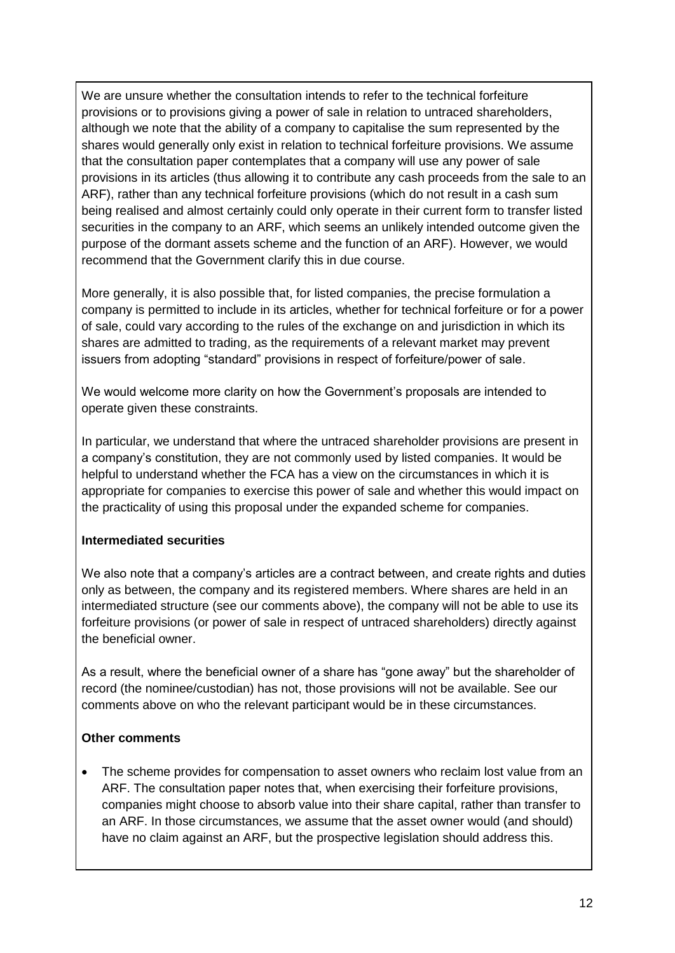We are unsure whether the consultation intends to refer to the technical forfeiture provisions or to provisions giving a power of sale in relation to untraced shareholders, although we note that the ability of a company to capitalise the sum represented by the shares would generally only exist in relation to technical forfeiture provisions. We assume that the consultation paper contemplates that a company will use any power of sale provisions in its articles (thus allowing it to contribute any cash proceeds from the sale to an ARF), rather than any technical forfeiture provisions (which do not result in a cash sum being realised and almost certainly could only operate in their current form to transfer listed securities in the company to an ARF, which seems an unlikely intended outcome given the purpose of the dormant assets scheme and the function of an ARF). However, we would recommend that the Government clarify this in due course.

More generally, it is also possible that, for listed companies, the precise formulation a company is permitted to include in its articles, whether for technical forfeiture or for a power of sale, could vary according to the rules of the exchange on and jurisdiction in which its shares are admitted to trading, as the requirements of a relevant market may prevent issuers from adopting "standard" provisions in respect of forfeiture/power of sale.

We would welcome more clarity on how the Government's proposals are intended to operate given these constraints.

In particular, we understand that where the untraced shareholder provisions are present in a company's constitution, they are not commonly used by listed companies. It would be helpful to understand whether the FCA has a view on the circumstances in which it is appropriate for companies to exercise this power of sale and whether this would impact on the practicality of using this proposal under the expanded scheme for companies.

## **Intermediated securities**

We also note that a company's articles are a contract between, and create rights and duties only as between, the company and its registered members. Where shares are held in an intermediated structure (see our comments above), the company will not be able to use its forfeiture provisions (or power of sale in respect of untraced shareholders) directly against the beneficial owner.

As a result, where the beneficial owner of a share has "gone away" but the shareholder of record (the nominee/custodian) has not, those provisions will not be available. See our comments above on who the relevant participant would be in these circumstances.

## **Other comments**

• The scheme provides for compensation to asset owners who reclaim lost value from an ARF. The consultation paper notes that, when exercising their forfeiture provisions, companies might choose to absorb value into their share capital, rather than transfer to an ARF. In those circumstances, we assume that the asset owner would (and should) have no claim against an ARF, but the prospective legislation should address this.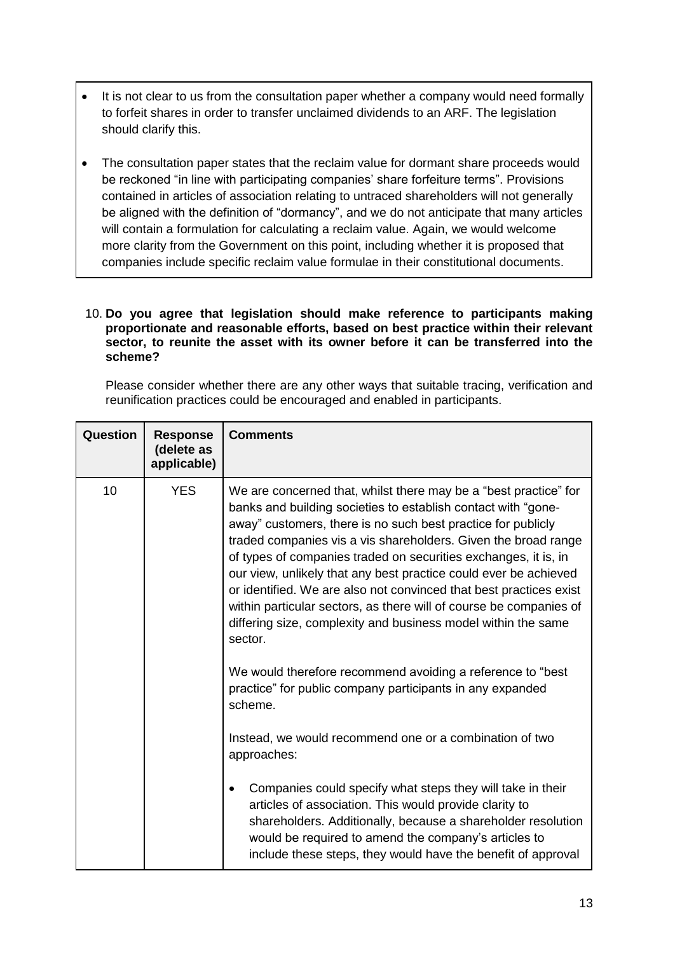- It is not clear to us from the consultation paper whether a company would need formally to forfeit shares in order to transfer unclaimed dividends to an ARF. The legislation should clarify this.
- The consultation paper states that the reclaim value for dormant share proceeds would be reckoned "in line with participating companies' share forfeiture terms". Provisions contained in articles of association relating to untraced shareholders will not generally be aligned with the definition of "dormancy", and we do not anticipate that many articles will contain a formulation for calculating a reclaim value. Again, we would welcome more clarity from the Government on this point, including whether it is proposed that companies include specific reclaim value formulae in their constitutional documents.

#### 10. **Do you agree that legislation should make reference to participants making proportionate and reasonable efforts, based on best practice within their relevant sector, to reunite the asset with its owner before it can be transferred into the scheme?**

Please consider whether there are any other ways that suitable tracing, verification and reunification practices could be encouraged and enabled in participants.

| Question | <b>Response</b><br>(delete as<br>applicable) | <b>Comments</b>                                                                                                                                                                                                                                                                                                                                                                                                                                                                                                                                                                                                                                                                                  |
|----------|----------------------------------------------|--------------------------------------------------------------------------------------------------------------------------------------------------------------------------------------------------------------------------------------------------------------------------------------------------------------------------------------------------------------------------------------------------------------------------------------------------------------------------------------------------------------------------------------------------------------------------------------------------------------------------------------------------------------------------------------------------|
| 10       | <b>YES</b>                                   | We are concerned that, whilst there may be a "best practice" for<br>banks and building societies to establish contact with "gone-<br>away" customers, there is no such best practice for publicly<br>traded companies vis a vis shareholders. Given the broad range<br>of types of companies traded on securities exchanges, it is, in<br>our view, unlikely that any best practice could ever be achieved<br>or identified. We are also not convinced that best practices exist<br>within particular sectors, as there will of course be companies of<br>differing size, complexity and business model within the same<br>sector.<br>We would therefore recommend avoiding a reference to "best |
|          |                                              | practice" for public company participants in any expanded<br>scheme.<br>Instead, we would recommend one or a combination of two                                                                                                                                                                                                                                                                                                                                                                                                                                                                                                                                                                  |
|          |                                              | approaches:                                                                                                                                                                                                                                                                                                                                                                                                                                                                                                                                                                                                                                                                                      |
|          |                                              | Companies could specify what steps they will take in their<br>articles of association. This would provide clarity to<br>shareholders. Additionally, because a shareholder resolution<br>would be required to amend the company's articles to<br>include these steps, they would have the benefit of approval                                                                                                                                                                                                                                                                                                                                                                                     |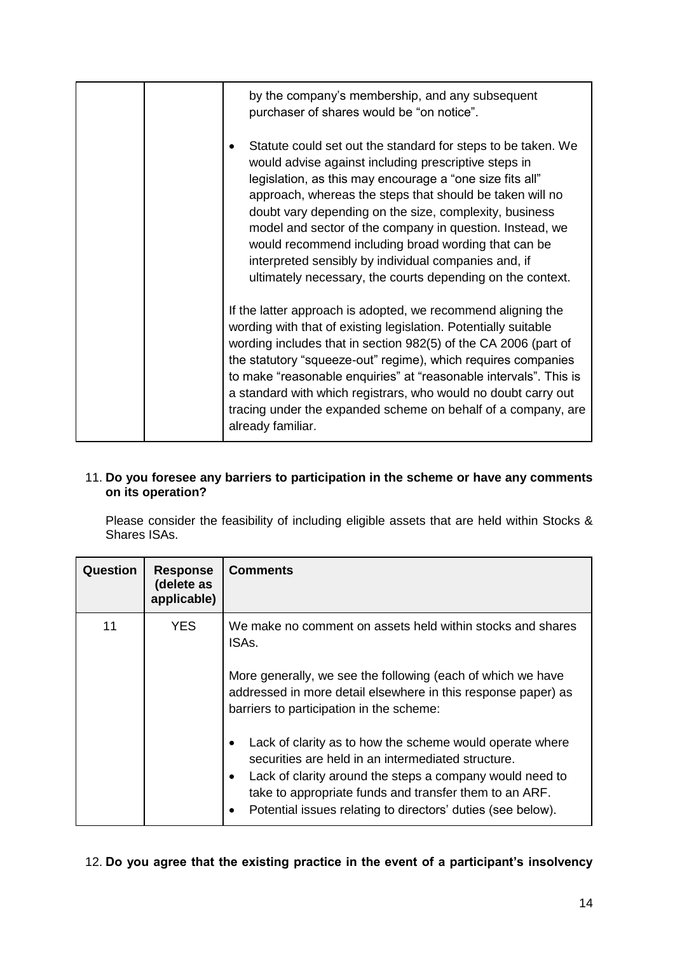|  | by the company's membership, and any subsequent<br>purchaser of shares would be "on notice".<br>Statute could set out the standard for steps to be taken. We<br>would advise against including prescriptive steps in<br>legislation, as this may encourage a "one size fits all"<br>approach, whereas the steps that should be taken will no                                                                                                                                                     |
|--|--------------------------------------------------------------------------------------------------------------------------------------------------------------------------------------------------------------------------------------------------------------------------------------------------------------------------------------------------------------------------------------------------------------------------------------------------------------------------------------------------|
|  | doubt vary depending on the size, complexity, business<br>model and sector of the company in question. Instead, we<br>would recommend including broad wording that can be<br>interpreted sensibly by individual companies and, if<br>ultimately necessary, the courts depending on the context.                                                                                                                                                                                                  |
|  | If the latter approach is adopted, we recommend aligning the<br>wording with that of existing legislation. Potentially suitable<br>wording includes that in section 982(5) of the CA 2006 (part of<br>the statutory "squeeze-out" regime), which requires companies<br>to make "reasonable enquiries" at "reasonable intervals". This is<br>a standard with which registrars, who would no doubt carry out<br>tracing under the expanded scheme on behalf of a company, are<br>already familiar. |

## 11. **Do you foresee any barriers to participation in the scheme or have any comments on its operation?**

Please consider the feasibility of including eligible assets that are held within Stocks & Shares ISAs.

| Question | <b>Response</b><br>(delete as<br>applicable) | <b>Comments</b>                                                                                                                                                                                                                                                                                                                                                                                                                                                                                                                                        |
|----------|----------------------------------------------|--------------------------------------------------------------------------------------------------------------------------------------------------------------------------------------------------------------------------------------------------------------------------------------------------------------------------------------------------------------------------------------------------------------------------------------------------------------------------------------------------------------------------------------------------------|
| 11       | YES.                                         | We make no comment on assets held within stocks and shares<br>ISAs.<br>More generally, we see the following (each of which we have<br>addressed in more detail elsewhere in this response paper) as<br>barriers to participation in the scheme:<br>Lack of clarity as to how the scheme would operate where<br>securities are held in an intermediated structure.<br>Lack of clarity around the steps a company would need to<br>take to appropriate funds and transfer them to an ARF.<br>Potential issues relating to directors' duties (see below). |

# 12. **Do you agree that the existing practice in the event of a participant's insolvency**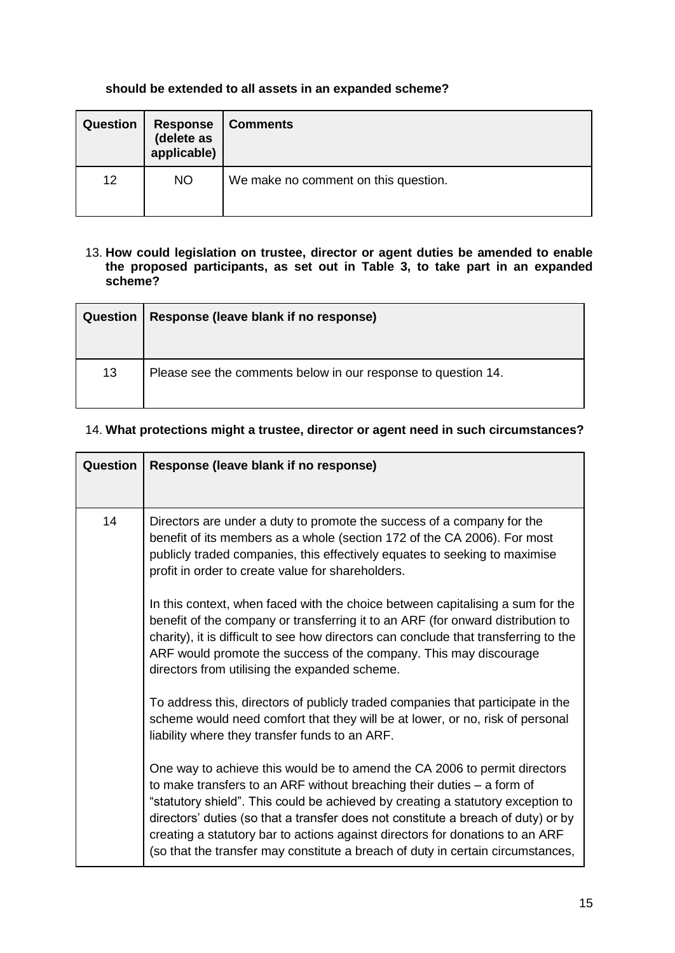# **should be extended to all assets in an expanded scheme?**

| <b>Question</b> | <b>Response</b><br>(delete as<br>applicable) | <b>Comments</b>                      |
|-----------------|----------------------------------------------|--------------------------------------|
| 12              | <b>NO</b>                                    | We make no comment on this question. |

#### 13. **How could legislation on trustee, director or agent duties be amended to enable the proposed participants, as set out in Table 3, to take part in an expanded scheme?**

| <b>Question</b> | Response (leave blank if no response)                         |
|-----------------|---------------------------------------------------------------|
| 13              | Please see the comments below in our response to question 14. |

# 14. **What protections might a trustee, director or agent need in such circumstances?**

| <b>Question</b> | Response (leave blank if no response)                                                                                                                                                                                                                                                                                                                                                                                                                                                             |
|-----------------|---------------------------------------------------------------------------------------------------------------------------------------------------------------------------------------------------------------------------------------------------------------------------------------------------------------------------------------------------------------------------------------------------------------------------------------------------------------------------------------------------|
|                 |                                                                                                                                                                                                                                                                                                                                                                                                                                                                                                   |
| 14              | Directors are under a duty to promote the success of a company for the<br>benefit of its members as a whole (section 172 of the CA 2006). For most<br>publicly traded companies, this effectively equates to seeking to maximise<br>profit in order to create value for shareholders.                                                                                                                                                                                                             |
|                 | In this context, when faced with the choice between capitalising a sum for the<br>benefit of the company or transferring it to an ARF (for onward distribution to<br>charity), it is difficult to see how directors can conclude that transferring to the<br>ARF would promote the success of the company. This may discourage<br>directors from utilising the expanded scheme.                                                                                                                   |
|                 | To address this, directors of publicly traded companies that participate in the<br>scheme would need comfort that they will be at lower, or no, risk of personal<br>liability where they transfer funds to an ARF.                                                                                                                                                                                                                                                                                |
|                 | One way to achieve this would be to amend the CA 2006 to permit directors<br>to make transfers to an ARF without breaching their duties $-$ a form of<br>"statutory shield". This could be achieved by creating a statutory exception to<br>directors' duties (so that a transfer does not constitute a breach of duty) or by<br>creating a statutory bar to actions against directors for donations to an ARF<br>(so that the transfer may constitute a breach of duty in certain circumstances, |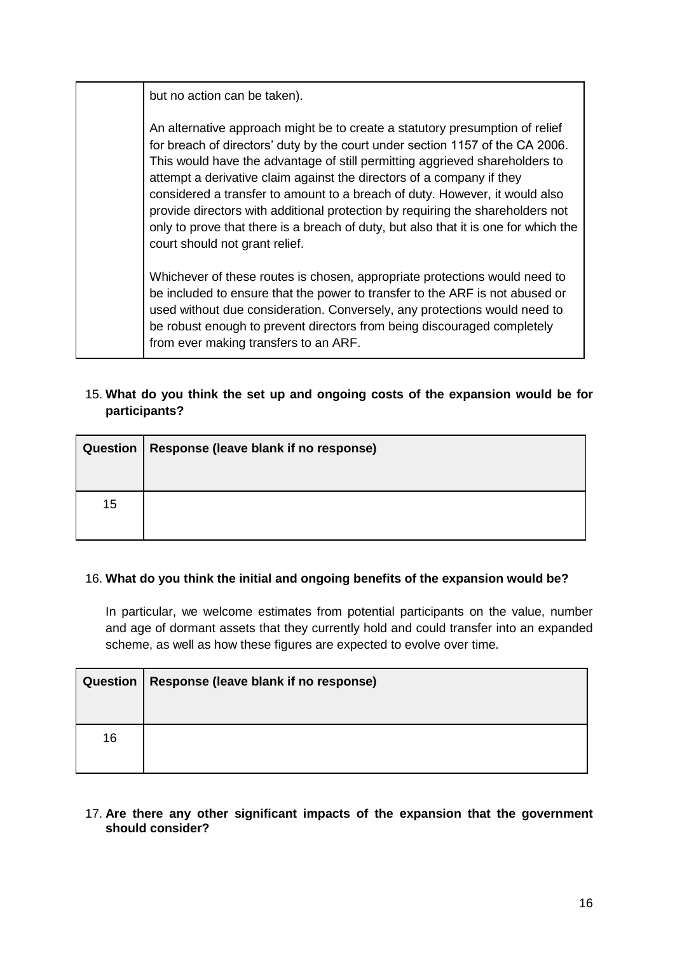but no action can be taken).

An alternative approach might be to create a statutory presumption of relief for breach of directors' duty by the court under section 1157 of the CA 2006. This would have the advantage of still permitting aggrieved shareholders to attempt a derivative claim against the directors of a company if they considered a transfer to amount to a breach of duty. However, it would also provide directors with additional protection by requiring the shareholders not only to prove that there is a breach of duty, but also that it is one for which the court should not grant relief.

Whichever of these routes is chosen, appropriate protections would need to be included to ensure that the power to transfer to the ARF is not abused or used without due consideration. Conversely, any protections would need to be robust enough to prevent directors from being discouraged completely from ever making transfers to an ARF.

# 15. **What do you think the set up and ongoing costs of the expansion would be for participants?**

| Question | Response (leave blank if no response) |
|----------|---------------------------------------|
| 15       |                                       |

## 16. **What do you think the initial and ongoing benefits of the expansion would be?**

In particular, we welcome estimates from potential participants on the value, number and age of dormant assets that they currently hold and could transfer into an expanded scheme, as well as how these figures are expected to evolve over time.

| Question | Response (leave blank if no response) |  |  |
|----------|---------------------------------------|--|--|
|          |                                       |  |  |
| 16       |                                       |  |  |

## 17. **Are there any other significant impacts of the expansion that the government should consider?**